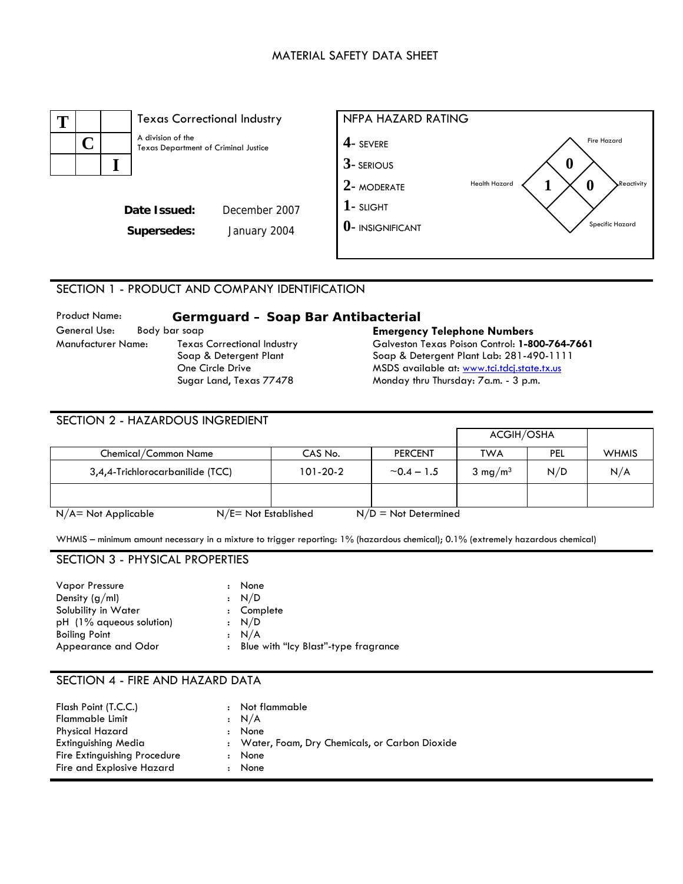# MATERIAL SAFETY DATA SHEET



# SECTION 1 - PRODUCT AND COMPANY IDENTIFICATION

| <b>Product Name:</b> | Germguard - Soap Bar Antibacterial |                                                |
|----------------------|------------------------------------|------------------------------------------------|
| General Use:         | Body bar soap                      | <b>Emergency Telephone Numbers</b>             |
| Manufacturer Name:   | <b>Texas Correctional Industry</b> | Galveston Texas Poison Control: 1-800-764-7661 |
|                      | Soap & Detergent Plant             | Soap & Detergent Plant Lab: 281-490-1111       |
|                      | One Circle Drive                   | MSDS available at: www.tci.tdcj.state.tx.us    |
|                      | Sugar Land, Texas 77478            | Monday thru Thursday: 7a.m. - 3 p.m.           |

| SECTION 2 - HAZARDOUS INGREDIENT                  |                |                        |                    |     |              |
|---------------------------------------------------|----------------|------------------------|--------------------|-----|--------------|
|                                                   |                |                        | ACGIH/OSHA         |     |              |
| Chemical/Common Name                              | CAS No.        | <b>PERCENT</b>         | <b>TWA</b>         | PEL | <b>WHMIS</b> |
| 3,4,4-Trichlorocarbanilide (TCC)                  | $101 - 20 - 2$ | ~1.5                   | $3 \text{ mg/m}^3$ | N/D | N/A          |
|                                                   |                |                        |                    |     |              |
| $N/E = Not$ Established<br>$N/A$ = Not Applicable |                | $N/D = Not$ Determined |                    |     |              |

WHMIS – minimum amount necessary in a mixture to trigger reporting: 1% (hazardous chemical); 0.1% (extremely hazardous chemical)

# SECTION 3 - PHYSICAL PROPERTIES

| <b>Vapor Pressure</b>    | None                                   |
|--------------------------|----------------------------------------|
| Density $(g/ml)$         | : N/D                                  |
| Solubility in Water      | : Complete                             |
| pH (1% aqueous solution) | : N/D                                  |
| <b>Boiling Point</b>     | : N/A                                  |
| Appearance and Odor      | : Blue with "Icy Blast"-type fragrance |

# SECTION 4 - FIRE AND HAZARD DATA

| Flash Point (T.C.C.)<br><b>Flammable Limit</b><br><b>Physical Hazard</b>         | $\cdot$<br>$\ddot{\phantom{a}}$ | Not flammable<br>$\cdot$ N/A<br>None                            |
|----------------------------------------------------------------------------------|---------------------------------|-----------------------------------------------------------------|
| Extinguishing Media<br>Fire Extinguishing Procedure<br>Fire and Explosive Hazard | $\ddot{\phantom{a}}$            | : Water, Foam, Dry Chemicals, or Carbon Dioxide<br>None<br>None |